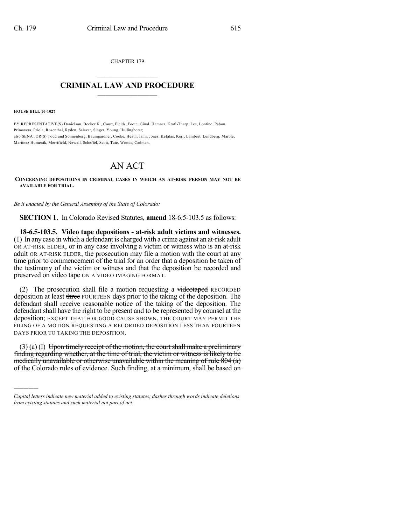CHAPTER 179  $\overline{\phantom{a}}$  . The set of the set of the set of the set of the set of the set of the set of the set of the set of the set of the set of the set of the set of the set of the set of the set of the set of the set of the set o

## **CRIMINAL LAW AND PROCEDURE**  $\frac{1}{2}$  ,  $\frac{1}{2}$  ,  $\frac{1}{2}$  ,  $\frac{1}{2}$  ,  $\frac{1}{2}$  ,  $\frac{1}{2}$  ,  $\frac{1}{2}$

**HOUSE BILL 16-1027**

)))))

BY REPRESENTATIVE(S) Danielson, Becker K., Court, Fields, Foote, Ginal, Hamner, Kraft-Tharp, Lee, Lontine, Pabon, Primavera, Priola, Rosenthal, Ryden, Salazar, Singer, Young, Hullinghorst; also SENATOR(S) Todd and Sonnenberg, Baumgardner, Cooke, Heath, Jahn, Jones, Kefalas, Kerr, Lambert, Lundberg, Marble, Martinez Humenik, Merrifield, Newell, Scheffel, Scott, Tate, Woods, Cadman.

## AN ACT

**CONCERNING DEPOSITIONS IN CRIMINAL CASES IN WHICH AN AT-RISK PERSON MAY NOT BE AVAILABLE FOR TRIAL.**

*Be it enacted by the General Assembly of the State of Colorado:*

**SECTION 1.** In Colorado Revised Statutes, **amend** 18-6.5-103.5 as follows:

**18-6.5-103.5. Video tape depositions - at-risk adult victims and witnesses.** (1) In any case in which a defendant is charged with a crime against an at-risk adult OR AT-RISK ELDER, or in any case involving a victim or witness who is an at-risk adult OR AT-RISK ELDER, the prosecution may file a motion with the court at any time prior to commencement of the trial for an order that a deposition be taken of the testimony of the victim or witness and that the deposition be recorded and preserved on video tape ON A VIDEO IMAGING FORMAT.

(2) The prosecution shall file a motion requesting a  $v$ ideotaped RECORDED deposition at least three FOURTEEN days prior to the taking of the deposition. The defendant shall receive reasonable notice of the taking of the deposition. The defendant shall have the right to be present and to be represented by counsel at the deposition; EXCEPT THAT FOR GOOD CAUSE SHOWN, THE COURT MAY PERMIT THE FILING OF A MOTION REQUESTING A RECORDED DEPOSITION LESS THAN FOURTEEN DAYS PRIOR TO TAKING THE DEPOSITION.

 $(3)$  (a) (I) Upon timely receipt of the motion, the court shall make a preliminary finding regarding whether, at the time of trial, the victim or witness is likely to be medically unavailable or otherwise unavailable within the meaning of rule 804 (a) of the Colorado rules of evidence. Such finding, at a minimum, shall be based on

*Capital letters indicate new material added to existing statutes; dashes through words indicate deletions from existing statutes and such material not part of act.*